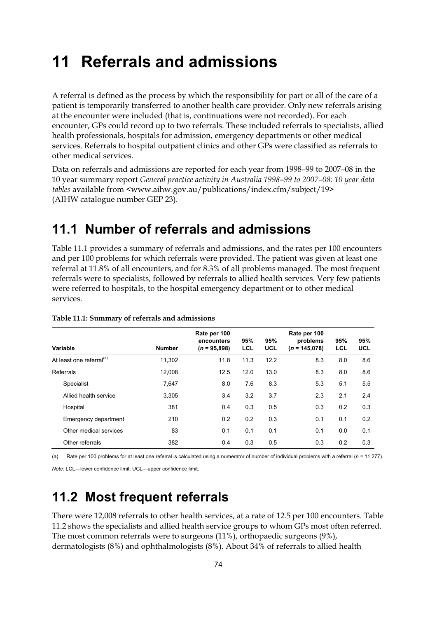# **11 Referrals and admissions**

A referral is defined as the process by which the responsibility for part or all of the care of a patient is temporarily transferred to another health care provider. Only new referrals arising at the encounter were included (that is, continuations were not recorded). For each encounter, GPs could record up to two referrals. These included referrals to specialists, allied health professionals, hospitals for admission, emergency departments or other medical services. Referrals to hospital outpatient clinics and other GPs were classified as referrals to other medical services.

Data on referrals and admissions are reported for each year from 1998–99 to 2007–08 in the 10 year summary report *General practice activity in Australia 1998–99 to 2007–08: 10 year data tables* available from <www.aihw.gov.au/publications/index.cfm/subject/19> (AIHW catalogue number GEP 23).

## **11.1 Number of referrals and admissions**

Table 11.1 provides a summary of referrals and admissions, and the rates per 100 encounters and per 100 problems for which referrals were provided. The patient was given at least one referral at 11.8% of all encounters, and for 8.3% of all problems managed. The most frequent referrals were to specialists, followed by referrals to allied health services. Very few patients were referred to hospitals, to the hospital emergency department or to other medical services.

| Variable                             | <b>Number</b> | Rate per 100<br>encounters<br>$(n = 95,898)$ | 95%<br>LCL | 95%<br><b>UCL</b> | Rate per 100<br>problems<br>$(n = 145.078)$ | 95%<br><b>LCL</b> | 95%<br><b>UCL</b> |
|--------------------------------------|---------------|----------------------------------------------|------------|-------------------|---------------------------------------------|-------------------|-------------------|
| At least one referral <sup>(a)</sup> | 11.302        | 11.8                                         | 11.3       | 12.2              | 8.3                                         | 8.0               | 8.6               |
| Referrals                            | 12.008        | 12.5                                         | 12.0       | 13.0              | 8.3                                         | 8.0               | 8.6               |
| Specialist                           | 7,647         | 8.0                                          | 7.6        | 8.3               | 5.3                                         | 5.1               | 5.5               |
| Allied health service                | 3,305         | 3.4                                          | 3.2        | 3.7               | 2.3                                         | 2.1               | 2.4               |
| Hospital                             | 381           | 0.4                                          | 0.3        | 0.5               | 0.3                                         | 0.2               | 0.3               |
| Emergency department                 | 210           | 0.2                                          | 0.2        | 0.3               | 0.1                                         | 0.1               | 0.2               |
| Other medical services               | 83            | 0.1                                          | 0.1        | 0.1               | 0.1                                         | 0.0               | 0.1               |
| Other referrals                      | 382           | 0.4                                          | 0.3        | 0.5               | 0.3                                         | 0.2               | 0.3               |

#### **Table 11.1: Summary of referrals and admissions**

(a) Rate per 100 problems for at least one referral is calculated using a numerator of number of individual problems with a referral (*n =* 11,277).

*Note:* LCL—lower confidence limit; UCL—upper confidence limit.

### **11.2 Most frequent referrals**

There were 12,008 referrals to other health services, at a rate of 12.5 per 100 encounters. Table 11.2 shows the specialists and allied health service groups to whom GPs most often referred. The most common referrals were to surgeons (11%), orthopaedic surgeons (9%), dermatologists (8%) and ophthalmologists (8%). About 34% of referrals to allied health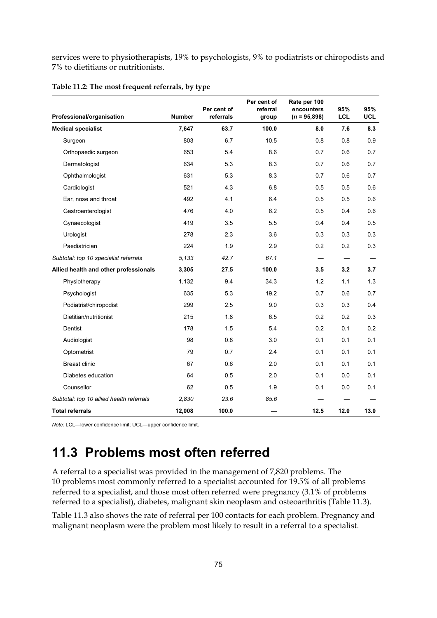services were to physiotherapists, 19% to psychologists, 9% to podiatrists or chiropodists and 7% to dietitians or nutritionists.

|                                          |               | Per cent of | Per cent of<br>referral | Rate per 100<br>encounters | 95%                      | 95%        |
|------------------------------------------|---------------|-------------|-------------------------|----------------------------|--------------------------|------------|
| Professional/organisation                | <b>Number</b> | referrals   | group                   | $(n = 95,898)$             | <b>LCL</b>               | <b>UCL</b> |
| <b>Medical specialist</b>                | 7,647         | 63.7        | 100.0                   | 8.0                        | 7.6                      | 8.3        |
| Surgeon                                  | 803           | 6.7         | 10.5                    | 0.8                        | 0.8                      | 0.9        |
| Orthopaedic surgeon                      | 653           | 5.4         | 8.6                     | 0.7                        | 0.6                      | 0.7        |
| Dermatologist                            | 634           | 5.3         | 8.3                     | 0.7                        | 0.6                      | 0.7        |
| Ophthalmologist                          | 631           | 5.3         | 8.3                     | 0.7                        | 0.6                      | 0.7        |
| Cardiologist                             | 521           | 4.3         | 6.8                     | 0.5                        | 0.5                      | 0.6        |
| Ear, nose and throat                     | 492           | 4.1         | 6.4                     | 0.5                        | 0.5                      | 0.6        |
| Gastroenterologist                       | 476           | 4.0         | 6.2                     | 0.5                        | 0.4                      | 0.6        |
| Gynaecologist                            | 419           | 3.5         | 5.5                     | 0.4                        | 0.4                      | 0.5        |
| Urologist                                | 278           | 2.3         | 3.6                     | 0.3                        | 0.3                      | 0.3        |
| Paediatrician                            | 224           | 1.9         | 2.9                     | 0.2                        | 0.2                      | 0.3        |
| Subtotal: top 10 specialist referrals    | 5.133         | 42.7        | 67.1                    |                            | $\overline{\phantom{0}}$ |            |
| Allied health and other professionals    | 3,305         | 27.5        | 100.0                   | 3.5                        | 3.2                      | 3.7        |
| Physiotherapy                            | 1,132         | 9.4         | 34.3                    | 1.2                        | 1.1                      | 1.3        |
| Psychologist                             | 635           | 5.3         | 19.2                    | 0.7                        | 0.6                      | 0.7        |
| Podiatrist/chiropodist                   | 299           | 2.5         | 9.0                     | 0.3                        | 0.3                      | 0.4        |
| Dietitian/nutritionist                   | 215           | 1.8         | 6.5                     | 0.2                        | 0.2                      | 0.3        |
| Dentist                                  | 178           | 1.5         | 5.4                     | 0.2                        | 0.1                      | 0.2        |
| Audiologist                              | 98            | 0.8         | 3.0                     | 0.1                        | 0.1                      | 0.1        |
| Optometrist                              | 79            | 0.7         | 2.4                     | 0.1                        | 0.1                      | 0.1        |
| <b>Breast clinic</b>                     | 67            | 0.6         | 2.0                     | 0.1                        | 0.1                      | 0.1        |
| Diabetes education                       | 64            | 0.5         | 2.0                     | 0.1                        | 0.0                      | 0.1        |
| Counsellor                               | 62            | 0.5         | 1.9                     | 0.1                        | 0.0                      | 0.1        |
| Subtotal: top 10 allied health referrals | 2,830         | 23.6        | 85.6                    |                            |                          |            |
| <b>Total referrals</b>                   | 12,008        | 100.0       |                         | 12.5                       | 12.0                     | 13.0       |

#### **Table 11.2: The most frequent referrals, by type**

*Note:* LCL—lower confidence limit; UCL—upper confidence limit.

# **11.3 Problems most often referred**

A referral to a specialist was provided in the management of 7,820 problems. The 10 problems most commonly referred to a specialist accounted for 19.5% of all problems referred to a specialist, and those most often referred were pregnancy (3.1% of problems referred to a specialist), diabetes, malignant skin neoplasm and osteoarthritis (Table 11.3).

Table 11.3 also shows the rate of referral per 100 contacts for each problem. Pregnancy and malignant neoplasm were the problem most likely to result in a referral to a specialist.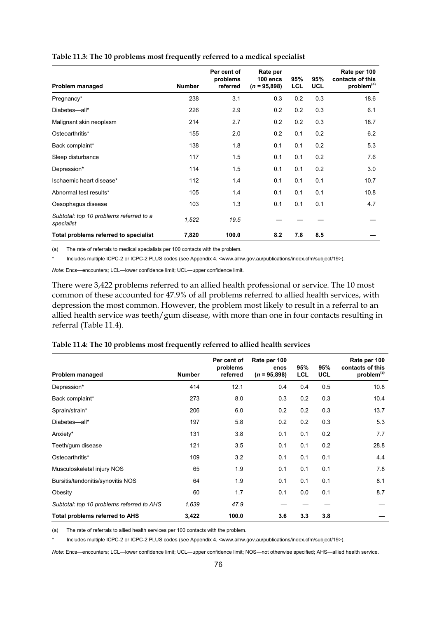| Problem managed                                       | <b>Number</b> | Per cent of<br>problems<br>referred | Rate per<br>$100$ encs<br>$(n = 95,898)$ | 95%<br><b>LCL</b> | 95%<br><b>UCL</b> | Rate per 100<br>contacts of this<br>problem <sup>(a)</sup> |
|-------------------------------------------------------|---------------|-------------------------------------|------------------------------------------|-------------------|-------------------|------------------------------------------------------------|
| Pregnancy*                                            | 238           | 3.1                                 | 0.3                                      | 0.2               | 0.3               | 18.6                                                       |
| Diabetes-all*                                         | 226           | 2.9                                 | 0.2                                      | 0.2               | 0.3               | 6.1                                                        |
| Malignant skin neoplasm                               | 214           | 2.7                                 | 0.2                                      | 0.2               | 0.3               | 18.7                                                       |
| Osteoarthritis*                                       | 155           | 2.0                                 | 0.2                                      | 0.1               | 0.2               | 6.2                                                        |
| Back complaint*                                       | 138           | 1.8                                 | 0.1                                      | 0.1               | 0.2               | 5.3                                                        |
| Sleep disturbance                                     | 117           | 1.5                                 | 0.1                                      | 0.1               | 0.2               | 7.6                                                        |
| Depression*                                           | 114           | 1.5                                 | 0.1                                      | 0.1               | 0.2               | 3.0                                                        |
| Ischaemic heart disease*                              | 112           | 1.4                                 | 0.1                                      | 0.1               | 0.1               | 10.7                                                       |
| Abnormal test results*                                | 105           | 1.4                                 | 0.1                                      | 0.1               | 0.1               | 10.8                                                       |
| Oesophagus disease                                    | 103           | 1.3                                 | 0.1                                      | 0.1               | 0.1               | 4.7                                                        |
| Subtotal: top 10 problems referred to a<br>specialist | 1,522         | 19.5                                |                                          |                   |                   |                                                            |
| Total problems referred to specialist                 | 7,820         | 100.0                               | 8.2                                      | 7.8               | 8.5               |                                                            |

#### **Table 11.3: The 10 problems most frequently referred to a medical specialist**

(a) The rate of referrals to medical specialists per 100 contacts with the problem.

Includes multiple ICPC-2 or ICPC-2 PLUS codes (see Appendix 4, <www.aihw.gov.au/publications/index.cfm/subject/19>).

*Note:* Encs—encounters; LCL—lower confidence limit; UCL—upper confidence limit.

There were 3,422 problems referred to an allied health professional or service. The 10 most common of these accounted for 47.9% of all problems referred to allied health services, with depression the most common. However, the problem most likely to result in a referral to an allied health service was teeth/gum disease, with more than one in four contacts resulting in referral (Table 11.4).

| Problem managed                           | <b>Number</b> | Per cent of<br>problems<br>referred | Rate per 100<br>encs<br>$(n = 95,898)$ | 95%<br><b>LCL</b> | 95%<br><b>UCL</b> | Rate per 100<br>contacts of this<br>problem <sup>(a)</sup> |
|-------------------------------------------|---------------|-------------------------------------|----------------------------------------|-------------------|-------------------|------------------------------------------------------------|
| Depression*                               | 414           | 12.1                                | 0.4                                    | 0.4               | 0.5               | 10.8                                                       |
| Back complaint*                           | 273           | 8.0                                 | 0.3                                    | 0.2               | 0.3               | 10.4                                                       |
| Sprain/strain*                            | 206           | 6.0                                 | 0.2                                    | 0.2               | 0.3               | 13.7                                                       |
| Diabetes-all*                             | 197           | 5.8                                 | 0.2                                    | 0.2               | 0.3               | 5.3                                                        |
| Anxiety*                                  | 131           | 3.8                                 | 0.1                                    | 0.1               | 0.2               | 7.7                                                        |
| Teeth/gum disease                         | 121           | 3.5                                 | 0.1                                    | 0.1               | 0.2               | 28.8                                                       |
| Osteoarthritis*                           | 109           | 3.2                                 | 0.1                                    | 0.1               | 0.1               | 4.4                                                        |
| Musculoskeletal injury NOS                | 65            | 1.9                                 | 0.1                                    | 0.1               | 0.1               | 7.8                                                        |
| Bursitis/tendonitis/synovitis NOS         | 64            | 1.9                                 | 0.1                                    | 0.1               | 0.1               | 8.1                                                        |
| Obesity                                   | 60            | 1.7                                 | 0.1                                    | 0.0               | 0.1               | 8.7                                                        |
| Subtotal: top 10 problems referred to AHS | 1,639         | 47.9                                |                                        |                   |                   |                                                            |
| <b>Total problems referred to AHS</b>     | 3,422         | 100.0                               | 3.6                                    | 3.3               | 3.8               |                                                            |

### **Table 11.4: The 10 problems most frequently referred to allied health services**

(a) The rate of referrals to allied health services per 100 contacts with the problem.

Includes multiple ICPC-2 or ICPC-2 PLUS codes (see Appendix 4, <www.aihw.gov.au/publications/index.cfm/subject/19>).

*Note:* Encs—encounters; LCL—lower confidence limit; UCL—upper confidence limit; NOS—not otherwise specified; AHS—allied health service.